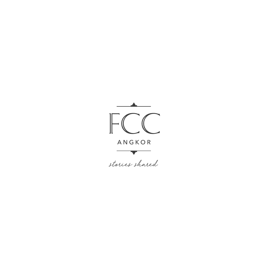

stories shared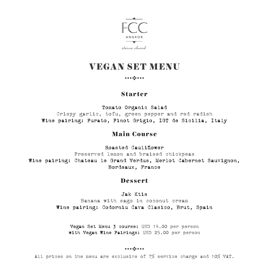

# VEGAN SET MENU

#### 

### Starter

Tomato Organic Salad Crispy garlic, tofu, green pepper and red radish Wine pairing: Purato, Pinot Grigio, IGT de Sicilia, Italy

### Main Course

Roasted Cauliflower

Preserved lemon and braised chickpeas Wine pairing: Chateau le Grand Verdus, Merlot Cabernet Sauvignon, Bordeaux, France

### Dessert

#### Jak Ktis

Banana with sago in coconut cream Wine pairing: Codorniu Cava Clasico, Brut, Spain

Vegan Set Menu 3 course: USD 14.00 per person with Vegan Wine Pairings: USD 25.00 per person

#### 

All prices on the menu are exclusive of 7% service charge and 10% VAT.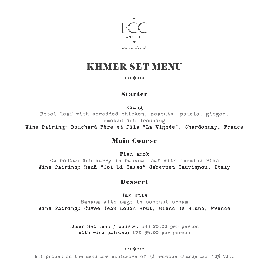

# KHMER SET MENU

#### 

### Starter

Miang

Betel leaf with shredded chicken, peanuts, pomelo, ginger, smoked fish dressing

Wine Pairing: Bouchard Père et Fils "La Vignée", Chardonnay, France

### Main Course

Fish amok

Cambodian fish curry in banana leaf with jasmine rice Wine Pairing: Banfi "Col Di Sasso" Cabernet Sauvignon, Italy

### Dessert

Jak ktis

Banana with sago in coconut cream Wine Pairing: Cuvée Jean Louis Brut, Blanc de Blanc, France

> Khmer Set menu 3 course: USD 20.00 per person with wine pairing: USD 35.00 per person

#### 

All prices on the menu are exclusive of 7% service charge and 10% VAT.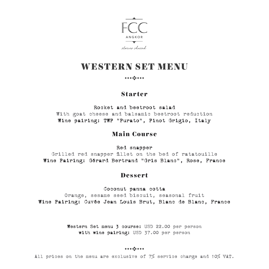

# WESTERN SET MENU

#### 

### Starter

Rocket and beetroot salad With goat cheese and balsamic beetroot reduction Wine pairing: TWP "Purato", Pinot Grigio, Italy

### Main Course

Red snapper

Grilled red snapper fillet on the bed of ratatouille Wine Pairing: Gérard Bertrand "Gris Blanc", Rose, France

### Dessert

Coconut panna cotta

Orange, sesame seed biscuit, seasonal fruit Wine Pairing: Cuvée Jean Louis Brut, Blanc de Blanc, France

> Western Set menu 3 course: USD 22.00 per person with wine pairing: USD 37.00 per person

#### 

All prices on the menu are exclusive of 7% service charge and 10% VAT.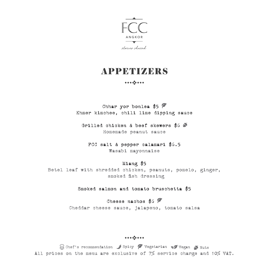

# **APPETIZERS**

#### 

Chhar yor bonlea \$5  $\mathscr O$ Khmer kimchee, chili lime dipping sauce

Grilled chicken & beef skewers \$6 Homemade peanut sauce

FCC salt & pepper calamari \$6.5 Wasabi mayonnaise

#### Miang \$5

Betel leaf with shredded chicken, peanuts, pomelo, ginger, smoked fish dressing

Smoked salmon and tomato bruschetta \$5

Cheese nachos  $$6$   $\triangleright$ Cheddar cheese sauce, jalapeno, tomato salsa

####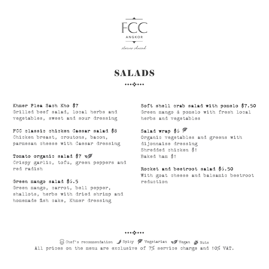

# SALADS

Khmer Plea Sach Kho \$7 Grilled beef salad, local herbs and vegetables, sweet and sour dressing

FCC classic chicken Caesar salad \$8 Chicken breast, croutons, bacon, parmesan cheese with Caesar dressing

Tomato organic salad \$7 Crispy garlic, tofu, green peppers and red radish

Green mango salad \$6.5 Green mango, carrot, bell pepper, shallots, herbs with dried shrimp and homemade fish cake, Khmer dressing

Soft shell crab salad with pomelo \$7.50 Green mango & pomelo with fresh local herbs and vegetables

Salad wrap  $$6$   $\mathscr$ Organic vegetables and greens with dijonnaise dressing Shredded chicken \$1 Baked ham \$1

Rocket and beetroot salad \$6.50 With goat cheese and balsamic beetroot reduction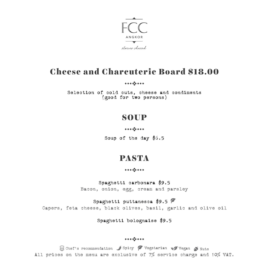

# Cheese and Charcuterie Board \$18.00

Selection of cold cuts, cheese and condiments (good for two persons)

### **SOUP**

Soup of the day \$6.5

# PASTA

#### 

Spaghetti carbonara \$9.5

Bacon, onion, egg, cream and parsley

#### Spaghetti puttanesca \$9.5 ?

Capers, feta cheese, black olives, basil, garlic and olive oil

#### Spaghetti bolognaise \$9.5

####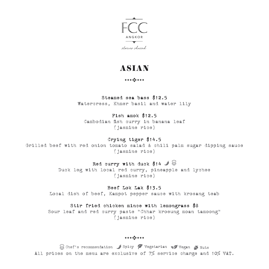

# ASIAN

#### 

#### Steamed sea bass \$12.5

Watercress, Khmer basil and water lily

#### Fish amok \$12.5

Cambodian fish curry in banana leaf (jasmine rice)

#### Crying tiger \$14.5

Grilled beef with red onion tomato salad & chili palm sugar dipping sauce (jasmine rice)

### Red curry with duck \$14  $\angle$   $\circledcirc$

Duck leg with local red curry, pineapple and lychee (jasmine rice)

#### Beef Lok Lak \$13.5

Local dish of beef, Kampot pepper sauce with krosang teab

#### Stir fried chicken mince with lemongrass \$8

Sour leaf and red curry paste "Chhar kroeung moan tamoong" (jasmine rice)

####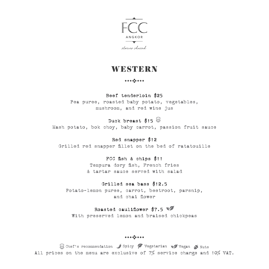

### **WESTERN**

#### 

#### Beef tenderloin \$25

Pea puree, roasted baby potato, vegetables, mushroom, and red wine jus

### Duck breast  $$15$

Mash potato, bok choy, baby carrot, passion fruit sauce

#### Red snapper \$12

Grilled red snapper fillet on the bed of ratatouille

#### FCC fish & chips \$11

Tempura dory fish, French fries & tartar sauce served with salad

#### Grilled sea bass \$12.5

Potato-lemon puree, carrot, beetroot, parsnip, and chai flower

#### Roasted cauliflower  $$7.5$

With preserved lemon and braised chickpeas

####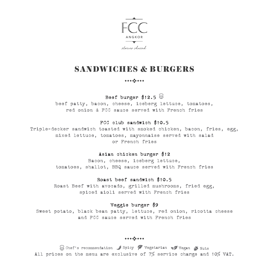

# SANDWICHES & BURGERS

#### 

Beef burger \$12.5

beef patty, bacon, cheese, iceberg lettuce, tomatoes, red onion & FCC sauce served with French fries

#### FCC club sandwich \$10.5

Triple-decker sandwich toasted with smoked chicken, bacon, fries, egg, mixed lettuce, tomatoes, mayonnaise served with salad or French fries

#### Asian chicken burger \$12

Bacon, cheese, iceberg lettuce, tomatoes, shallot, BBQ sauce served with French fries

#### Roast beef sandwich \$10.5

Roast Beef with avocado, grilled mushrooms, fried egg, spiced aioli served with French fries

#### Veggie burger \$9

Sweet potato, black bean patty, lettuce, red onion, ricotta cheese and FCC sauce served with French fries

####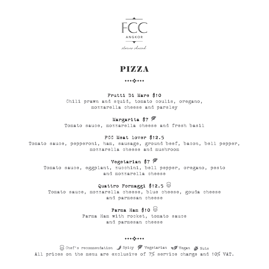

# PIZZA

#### 

#### Frutti Di Mare \$10

Chili prawn and squid, tomato coulis, oregano, mozzarella cheese and parsley

### Margarita \$7 P

Tomato sauce, mozzarella cheese and fresh basil

#### FCC Meat lover \$12.5

Tomato sauce, pepperoni, ham, sausage, ground beef, bacon, bell pepper, mozzarella cheese and mushroom

#### Vegetarian \$7

Tomato sauce, eggplant, zucchini, bell pepper, oregano, pesto and mozzarella cheese

### Quattro Formaggi \$12.5

Tomato sauce, mozzarella cheese, blue cheese, gouda cheese and parmesan cheese

#### Parma Ham  $$10$

Parma Ham with rocket, tomato sauce and parmesan cheese

####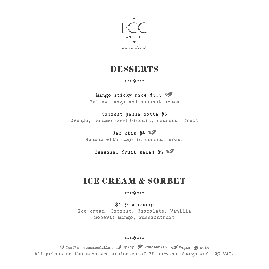

### DESSERTS

#### 

Mango sticky rice \$5.5 Yellow mango and coconut cream

Coconut panna cotta \$6 Orange, sesame seed biscuit, seasonal fruit

> $Jak$  ktis \$4 Banana with sago in coconut cream

Seasonal fruit salad \$5

# ICE CREAM & SORBET

\$1.9 a scoop

Ice cream: Coconut, Chocolate, Vanilla Sobert: Mango, Passionfruit

####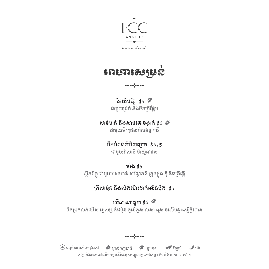



#### 

រៃឆយ៉បន្លែ  $\sharp$ 5  $\mathscr P$ ជាមួយជក់ និងទឹកតីផ្អម

សាច់មាន់ និងសាច់គោចង្កាក់ \$6 ជាមួយទឹកជលក់សណ្តកដី

> មឹកបំពងអំបិលមច \$6.5 ជាមួយវ៉សាប៊ិ ម៉យ៉ូណស

មាំង \$5 ស្លឹកជីភ្លូ ជាមួយសាច់មាន់ សណ្តកដី កូចថ្លុង ខ្ញី និងតីឆ្អើ

# តីសាម៉ុន និងប៉ងប៉ះដាក់លើនំបុ័ង \$5

ឈីស ណាឆ្អស $\frac{2}{3}$ 6  $\mathscr{C}$ ទឹកជក់លក់ឈីស ម្ទសជក់ជប៉ុន តូម៉តូសាលសា សចលើបន្ទះសៀគ្វីពោត

 $\mathbb{\mathbb{Z}}$  ជម្រើសរបស់មេចុងភៅ  $\bigwedge^{\bullet}$  គ្រាប់ធញ្ញជាតិ  $\bigwedge^{\bullet}$  ម្ហូបបួស  $\bigvee^{\bullet}$  វិហ្គាន់  $\bigcup^{\bullet}$  ហឺរ

តម្លៃទាំងអស់នៅលើមុខម្ហូបគឺមិនបូកចញ្ចូលថ្លៃសេវាកម្ម ៧% និងអាករ ១០% ។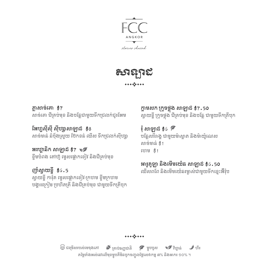



ភ្លសាច់គោ \$7 សាច់គោ ជីគប់មុខ និងបន្លជាមួយទឹកជលក់ជូរអម

អហ្វស៊ីស៊ី ស៊ីហសាសាឡាដ \$8 សាច់មាន់ នំបងងាសយ ប៊ែកខន់ ឈីស ទឹកជ្រលក់ស៊ីហ្សា

អរហ្គនិក សាឡាដ \$7 ខ្ទឹមបំពង តៅហ៊ូ ម្ទសផ្លកខៀវ និងជីគប់មុខ

ញាំស្វយខ្ចី \$6.5 ស្វយខ្ចី ការ៉ុត ម្ទសផ្លកខៀវ-កហម ខ្ទឹមកហម បង្គរកៀម បហិតតី និងជីគប់មុខ ជាមួយទឹកតីបុក ក្ដមសក កូចថ្លុង សាឡាដ \$7.50 ស្វយខ្ចី កូចថ្លុង ជីគប់មុខ និងបន្ល ជាមួយទឹកតីបុក

 $\frac{2}{3}$  សាឡាដ  $\frac{4}{3}$ 6  $\frac{2}{3}$ បន្លសរីរាង្គ ជាមួយម៉ាស្តត និងម៉យ៉ូណស សាច់មាន់ \$1 ហម \$1

# អារូគូឡា និងមើមយ៉ន សាឡាដ \$6.50

ឈីសពព និងមើមយ៉នរម្ងស់ជាមួយទឹកខ្មះអ៊ឺរ៉ុប

តម្លៃទាំងអស់នៅលើមុខម្ហូបគឺមិនបូកចញ្ចូលថ្លៃសេវាកម្ម ៧% និងអាករ ១០% ។  $\mathbb{\mathbb{Z}}$  ជម្រើសរបស់មេចុងភៅ  $\bigwedge$  គ្រាប់ធញ្ញជាតិ  $\bigcap$  ម្ហូបបួស  $\bigvee$  វីហ្គាន់  $\bigcup$  ហឺរ

 $\mathbf{a}^{\dagger} \mathbf{a}^{\dagger} \mathbf{a}^{\dagger} \mathbf{a}^{\dagger} \mathbf{a}^{\dagger} \mathbf{a}^{\dagger} \mathbf{a}^{\dagger} \mathbf{a}^{\dagger} \mathbf{a}^{\dagger} \mathbf{a}^{\dagger} \mathbf{a}^{\dagger} \mathbf{a}^{\dagger} \mathbf{a}^{\dagger} \mathbf{a}^{\dagger} \mathbf{a}^{\dagger} \mathbf{a}^{\dagger} \mathbf{a}^{\dagger} \mathbf{a}^{\dagger} \mathbf{a}^{\dagger} \mathbf{a}^{\dagger}$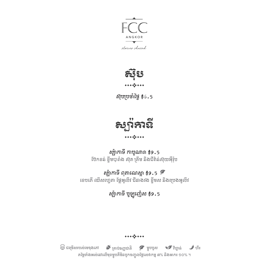

stories shared



ស៊ុបបចាំថ្ងៃ \$6.5



សប៉កាទី កាបូណារា \$9.5 ប៊កខន់ ខ្ទឹមបារាំង ស៊ុត គីម និងជីវ៉ន់ស៊ុយអុឺរ៉ុប

ស្ឈ៉ាកាទី ពុតាណេស្កា  $$9.5$   $\times$ ខបភើ ឈីសហ្វតា ផ្លអូលីវ ជីនាងវង ខ្ទឹមស និងបងអូលីវ

សប៉កាទី បូឡូញ៉ស \$9.5

តម្លៃទាំងអស់នៅលើមុខម្ហូបគឺមិនបូកចញ្ចូលថ្លៃសេវាកម្ម ៧% និងអាករ ១០% ។  $\mathbb{\mathfrak{B}}$  ជម្រើសរបស់មេចុងភៅ  $\bullet$  គ្រាប់ធញ្ញជាតិ  $\bullet$  ម្ហូបបួស  $\bullet$  វីហ្គាន់  $\bullet$  ហឺរ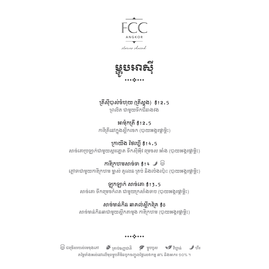

stories shared



តីស៊ីបាស់ចំហុយ (តីស្ពុង) \$12.5 ពលិត ជាមួយទឹកជីនាងវង

អាម៉ុកតី \$12.5 ការីតីនៅក្នុងស្លឹកចក (បាយអង្ករផ្កម្លិះ)

កយីង ថៃហ្គើ \$14.5 សាច់គោបឡាក់ជាមួយស្ករត្នត ទឹកស៊ីអុីវ មចស អាំង (បាយអង្ករផ្កម្លិះ)

ការីក្រហមសាច់ទា  $$14$   $\rightarrow$   $\overset{\text{\tiny{(3)}}}{\rightarrow}$ ភ្លទាជាមួយការីកហម ម្នស់ គូលន តប់ និងប៉ងប៉ះ (បាយអង្ករផ្កម្លិះ)

ឡុកឡាក់ សាច់គោ \$13.5 សាច់គោ ទឹកមចកំពត ជាមួយកសាំងទាប (បាយអង្ករផ្កម្លិះ)

សាច់មាន់កិន ឆាគល់ស្លឹកពុំគ \$8 សាច់មាន់កិនឆាជាមួយស្លឹកតាមូង ការីកហម (បាយអង្ករផ្កម្លិះ)

តម្លៃទាំងអស់នៅលើមុខម្ហូបគឺមិនបូកចញ្ចូលថ្លៃសេវាកម្ម ៧% និងអាករ ១០% ។  $\mathbb{\mathbb{Z}}$  ជម្រើសរបស់មេចុងភៅ  $\bigwedge^{\bullet}$  គ្រាប់ធញ្ញជាតិ  $\bigwedge^{\bullet}$  ម្ហូបបួស  $\bigvee^{\bullet}$  វិហ្គាន់  $\bigcup^{\bullet}$  ហឺរ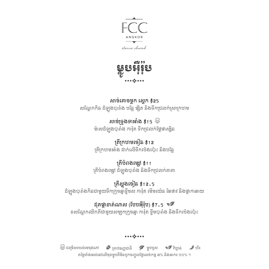

ម លូ បអឺរុ ៊ ប ៉  $.........$ 

សាច់គោចម្លក ស្តក \$25 សណ្តែកកិន ដំឡូងបារាំង បន្លែ ផ្សិត និងទឹកជ្រលក់ស្រាក្រហម

> សាច់ទ្រូងទាអាំង  $\sharp$ 15  $\overset{\oplus}{\oplus}$ ម៉ាសដំឡូងបារាំង ការ៉ុត ទឹកជ្រលក់ផ្លែផាស៊ូឆ

> តីកហមចៀន \$12 តីកហមអាំង ដាក់លើទឹកប៉ងប៉ះ និងបន្ល

តីបំពងមសៅ \$11 តីបំពងមសៅ ដំឡូងបារាំង និងទឹកជលក់តាតា

តីស្ពុងចៀន \$12.5 ដំឡូងបារាំងកិនជាមួយទឹកកូចឆ្មខ្ទឹមស ការ៉ុត មើមយ៉ន ឆៃថាវ និងផ្កកាឆាយ

# ដុតផ្កាខាត់ណាស (បែបអឺរ៉ុប)  $$7.5$

ខសណ្ដែកឈិកភីជាមួយសមបកកូចឆ្ម ការ៉ុត ខ្ទឹមបារាំង និងទឹកប៉ងប៉ះ

តម្លៃទាំងអស់នៅលើមុខម្ហូបគឺមិនបូកចញ្ចូលថ្លៃសេវាកម្ម ៧% និងអាករ ១០% ។  $\mathbb{\mathbb{Z}}$  ជម្រើសរបស់មេចុងភៅ  $\bigwedge^{\bullet}$  គ្រាប់ធញ្ញជាតិ  $\bigwedge^{\bullet}$  ម្ហូបបួស  $\bigvee^{\bullet}$  វិហ្គាន់  $\bigcup^{\bullet}$  ហឺរ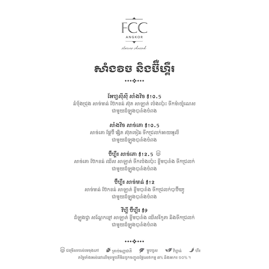

# សាំងវិច និងប៊ឺហ្គឺ រ

### អហ្វស៊ីស៊ី សាំងវិច \$10.5

នំបុ័ងជ្រុង សាច់មាន់ ប៊ែកខន់ ស៊ុត សាឡាត់ ប៉េងប៉ោះ ទឹកម៉ាយ៉ូណេស ជាមួយដំឡូងបារាំងបំពង

### សាំងវិច សាច់គោ \$10.5

សាច់គោ ផ្លប៊ឺ ផសិត ស៊ុតចៀន ទឹកជលក់អាយអូលី ជាមួយដំឡូងបារាំងបំពង

### $\bar{\mathfrak{V}}$ ហ្មឺរ សាច់គោ \$12.5  $\, \mathbb{\overline{S}}$

សាច់គោ ប៊ែកខន់ ឈីស សាឡាត់ ទឹកប៉េងប៉ោះ ខ្ចឹមបារាំង ទឹកជ្រលក់ ជាមួយដំឡូងបារាំងបំពង

### ប៊ឺហ្គឺរ សាច់មាន់ \$12

សាច់មាន់ ប៊ែកខន់ សាឡាត់ ខ្ចឹមបារាំង ទឹកជ្រលក់បាប៊ីឃ្យ ជាមួយដំឡូងបារាំងបំពង

### វីហ្គី ប៊ឺហ្គឺរ \$9

ដំឡូងជ្វា សណ្តែកខ្មៅ សាឡាត់ ខ្ចឹមបារាំង ឈីសរីកូតា និងទឹកជ្រលក់ ជាមួយដំឡូងបារាំងបំពង

#### 

តម្លៃទាំងអស់នៅលើមុខម្ហូបគឺមិនបូកចញ្ចូលថ្លៃសេវាកម្ម ៧% និងអាករ ១០% ។  $\mathbb{\mathbb{Z}}$  ជមើសរបស់មេចុងភៅ  $\blacktriangle$  គ្រាប់ធញ្ញជាតិ  $\blacktriangledown$  ម្ហូបបួស  $\blacktriangledown$  វីហ្គាន់  $\blacktriangleleft$  ហឺរ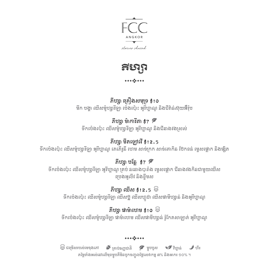

ភីហ្សា

# ភីហសា គឿងសមុទ \$10

មឹក បង្គ ឈីសម៉ូហសារីឡា ប៉ងប៉ះ អូរីហ្គណូ និងជីវ៉ន់ស៊ុយអ៊ឺរ៉ុប

# ភីហា ម៉ាការីតា  $$7$   $^{\circ}$

ទឹកប៉េងប៉ោះ ឈីសម៉ូហ្សារីឡា អូរីហ្គាណូ និងជីនាងវងសសល់

# ភីហសា មីតឡៅវើ\$12.5

ទឹកប៉េងប៉ោះ ឈីសម៉ូហ្សារីឡា អូរីហ្គាណូ ភេភើរូនី ហេម សាច់ក្រក សាច់គោកិន ប៊ែកខន់ ម្ទេសផ្ទោក និងផ្សិត

# ភីហ្សា បន្លែ $\frac{47}{5}$

ទឹកប៉ងប៉ះ ឈីសម៉ូហសារីឡា អូរីហ្គណូ តប់ ននោងបារាំង ម្ទសផ្លក ជីនាងវងកិនជាមួយឈីស បងអូលីវ និងខ្ទឹមស

# ភីហ្សា ឈីស \$12.5  $\, \circledS \,$

ទឹកប៉េងប៉ោះ ឈីសម៉ូហ្សារីឡា ឈីសប្លិ ឈីសហ្កូដា ឈីសផាមីហ្សា្ហត់ និងអូរីហ្គាណូ

## ភីហ្សា ផាម៉ាហេម  $\sharp$ 10  $\stackrel{\footnotesize \textcircled{\tiny \textcircled{\tiny \textcirc}}}$

ទឹកប៉េងប៉ោះ ឈីសម៉ូហ្សារីឡា ផាម៉ាហេម ឈីសផាមីហ្សាន់ រ៉ូកែតសាឡាត់ អូរីហ្គាណូ

#### 

តម្លៃទាំងអស់នៅលើមុខម្ហូបគឺមិនបូកចញ្ចូលថ្លៃសេវាកម្ម ៧% និងអាករ ១០% ។  $\mathbb{\mathbb{Z}}$  ជម្រើសរបស់មេចុងភៅ  $\bigwedge^{\bullet}$  គ្រាប់ធញ្ញជាតិ  $\bigwedge^{\bullet}$  ម្ហូបបួស  $\bigvee^{\bullet}$  វិហ្គាន់  $\bigcup^{\bullet}$  ហឺរ